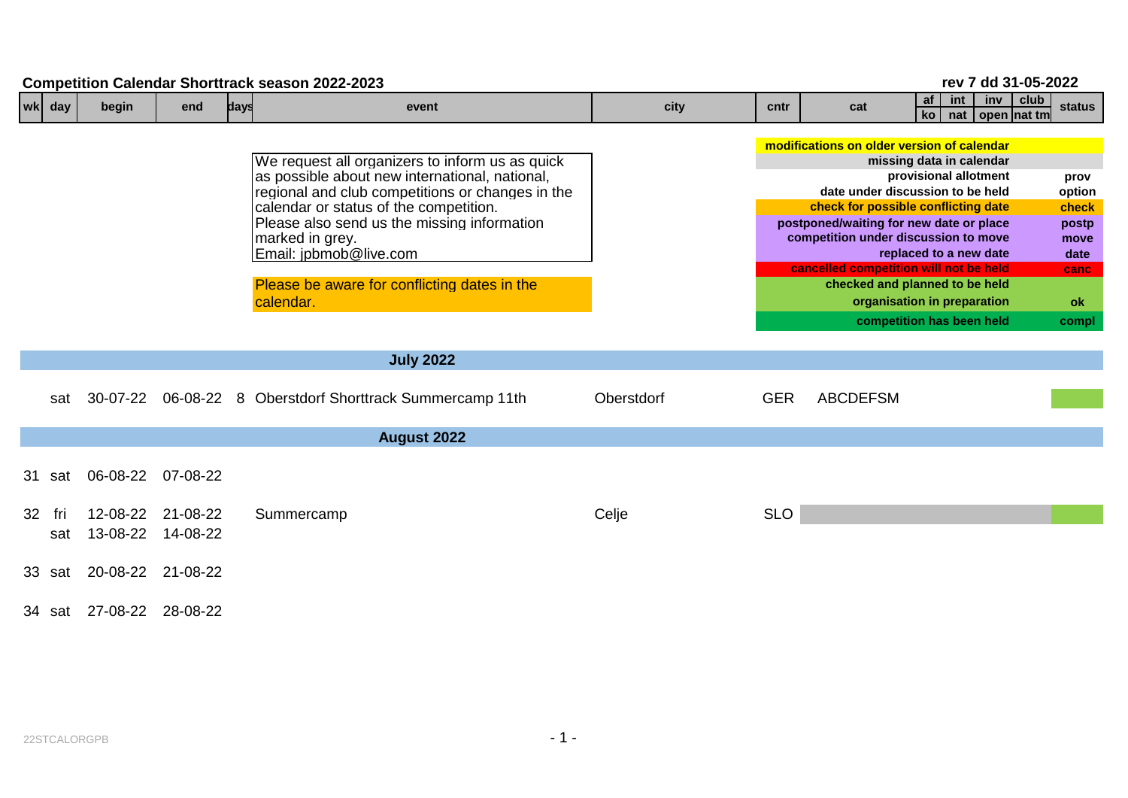|    | rev 7 dd 31-05-2022<br><b>Competition Calendar Shorttrack season 2022-2023</b><br>club |                   |                               |      |                                                                                                                                                                                                                                                                                                                                                          |            |            |                                                                                                                                                                                                                                                                                                                                                                                                                                 |  |  |  |  |  |
|----|----------------------------------------------------------------------------------------|-------------------|-------------------------------|------|----------------------------------------------------------------------------------------------------------------------------------------------------------------------------------------------------------------------------------------------------------------------------------------------------------------------------------------------------------|------------|------------|---------------------------------------------------------------------------------------------------------------------------------------------------------------------------------------------------------------------------------------------------------------------------------------------------------------------------------------------------------------------------------------------------------------------------------|--|--|--|--|--|
|    | wk day                                                                                 | begin             | end                           | days | event                                                                                                                                                                                                                                                                                                                                                    | city       | cntr       | af<br>int<br>inv<br>cat<br>ko l<br>nat   open   nat tm                                                                                                                                                                                                                                                                                                                                                                          |  |  |  |  |  |
|    |                                                                                        |                   |                               |      | We request all organizers to inform us as quick<br>as possible about new international, national,<br>regional and club competitions or changes in the<br>calendar or status of the competition.<br>Please also send us the missing information<br>marked in grey.<br>Email: jpbmob@live.com<br>Please be aware for conflicting dates in the<br>calendar. |            |            | modifications on older version of calendar<br>missing data in calendar<br>provisional allotment<br>date under discussion to be held<br>check for possible conflicting date<br>postponed/waiting for new date or place<br>competition under discussion to move<br>replaced to a new date<br>cancelled competition will not be held<br>checked and planned to be held<br>organisation in preparation<br>competition has been held |  |  |  |  |  |
|    |                                                                                        |                   |                               |      | <b>July 2022</b>                                                                                                                                                                                                                                                                                                                                         |            |            |                                                                                                                                                                                                                                                                                                                                                                                                                                 |  |  |  |  |  |
|    | sat                                                                                    | 30-07-22          |                               |      | 06-08-22 8 Oberstdorf Shorttrack Summercamp 11th                                                                                                                                                                                                                                                                                                         | Oberstdorf | <b>GER</b> | <b>ABCDEFSM</b>                                                                                                                                                                                                                                                                                                                                                                                                                 |  |  |  |  |  |
|    |                                                                                        |                   |                               |      | <b>August 2022</b>                                                                                                                                                                                                                                                                                                                                       |            |            |                                                                                                                                                                                                                                                                                                                                                                                                                                 |  |  |  |  |  |
|    | 31 sat                                                                                 | 06-08-22 07-08-22 |                               |      |                                                                                                                                                                                                                                                                                                                                                          |            |            |                                                                                                                                                                                                                                                                                                                                                                                                                                 |  |  |  |  |  |
| 32 | fri<br>sat                                                                             | 12-08-22          | 21-08-22<br>13-08-22 14-08-22 |      | Summercamp                                                                                                                                                                                                                                                                                                                                               | Celje      | <b>SLO</b> |                                                                                                                                                                                                                                                                                                                                                                                                                                 |  |  |  |  |  |
|    | 33 sat                                                                                 | 20-08-22 21-08-22 |                               |      |                                                                                                                                                                                                                                                                                                                                                          |            |            |                                                                                                                                                                                                                                                                                                                                                                                                                                 |  |  |  |  |  |
|    | 34 sat                                                                                 | 27-08-22 28-08-22 |                               |      |                                                                                                                                                                                                                                                                                                                                                          |            |            |                                                                                                                                                                                                                                                                                                                                                                                                                                 |  |  |  |  |  |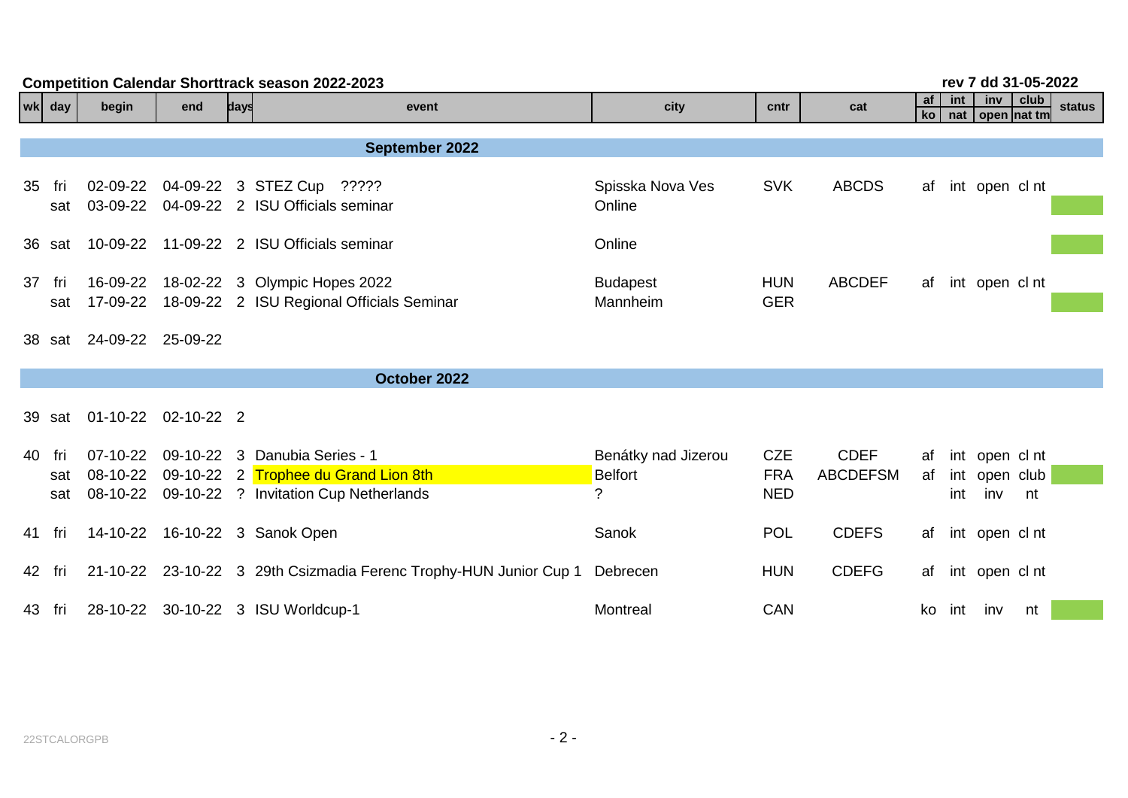| rev 7 dd 31-05-2022<br><b>Competition Calendar Shorttrack season 2022-2023</b> |                                    |     |      |                                                                                                                |                                            |                                        |                                |          |               |                                        |      |        |  |
|--------------------------------------------------------------------------------|------------------------------------|-----|------|----------------------------------------------------------------------------------------------------------------|--------------------------------------------|----------------------------------------|--------------------------------|----------|---------------|----------------------------------------|------|--------|--|
| wk day                                                                         | begin                              | end | days | event                                                                                                          | city                                       | cntr                                   | cat                            | af<br>ko | int<br>$n$ at | inv<br>open Inat tm                    | club | status |  |
|                                                                                |                                    |     |      |                                                                                                                |                                            |                                        |                                |          |               |                                        |      |        |  |
|                                                                                |                                    |     |      | September 2022                                                                                                 |                                            |                                        |                                |          |               |                                        |      |        |  |
| 35 fri<br>sat                                                                  | 02-09-22<br>03-09-22               |     |      | 04-09-22 3 STEZ Cup ?????<br>04-09-22 2 ISU Officials seminar                                                  | Spisska Nova Ves<br>Online                 | <b>SVK</b>                             | <b>ABCDS</b>                   |          |               | af int open cl nt                      |      |        |  |
| 36 sat                                                                         |                                    |     |      | 10-09-22 11-09-22 2 ISU Officials seminar                                                                      | Online                                     |                                        |                                |          |               |                                        |      |        |  |
| 37 fri<br>sat                                                                  | 16-09-22                           |     |      | 18-02-22 3 Olympic Hopes 2022<br>17-09-22 18-09-22 2 ISU Regional Officials Seminar                            | <b>Budapest</b><br>Mannheim                | <b>HUN</b><br><b>GER</b>               | <b>ABCDEF</b>                  | af       |               | int open cl nt                         |      |        |  |
| 38 sat                                                                         | 24-09-22 25-09-22                  |     |      |                                                                                                                |                                            |                                        |                                |          |               |                                        |      |        |  |
|                                                                                |                                    |     |      | October 2022                                                                                                   |                                            |                                        |                                |          |               |                                        |      |        |  |
| 39 sat                                                                         | 01-10-22 02-10-22 2                |     |      |                                                                                                                |                                            |                                        |                                |          |               |                                        |      |        |  |
| 40 fri<br>sat<br>sat                                                           | $07-10-22$<br>08-10-22<br>08-10-22 |     |      | 09-10-22 3 Danubia Series - 1<br>09-10-22 2 Trophee du Grand Lion 8th<br>09-10-22 ? Invitation Cup Netherlands | Benátky nad Jizerou<br><b>Belfort</b><br>? | <b>CZE</b><br><b>FRA</b><br><b>NED</b> | <b>CDEF</b><br><b>ABCDEFSM</b> | af<br>af | int           | int open cl nt<br>int open club<br>inv | nt   |        |  |
| 41 fri                                                                         |                                    |     |      | 14-10-22 16-10-22 3 Sanok Open                                                                                 | Sanok                                      | <b>POL</b>                             | <b>CDEFS</b>                   | af       |               | int open cl nt                         |      |        |  |
| 42 fri                                                                         |                                    |     |      | 21-10-22 23-10-22 3 29th Csizmadia Ferenc Trophy-HUN Junior Cup 1                                              | Debrecen                                   | <b>HUN</b>                             | <b>CDEFG</b>                   | af       |               | int open cl nt                         |      |        |  |
| 43 fri                                                                         |                                    |     |      | 28-10-22 30-10-22 3 ISU Worldcup-1                                                                             | Montreal                                   | <b>CAN</b>                             |                                |          |               | ko int inv                             | nt   |        |  |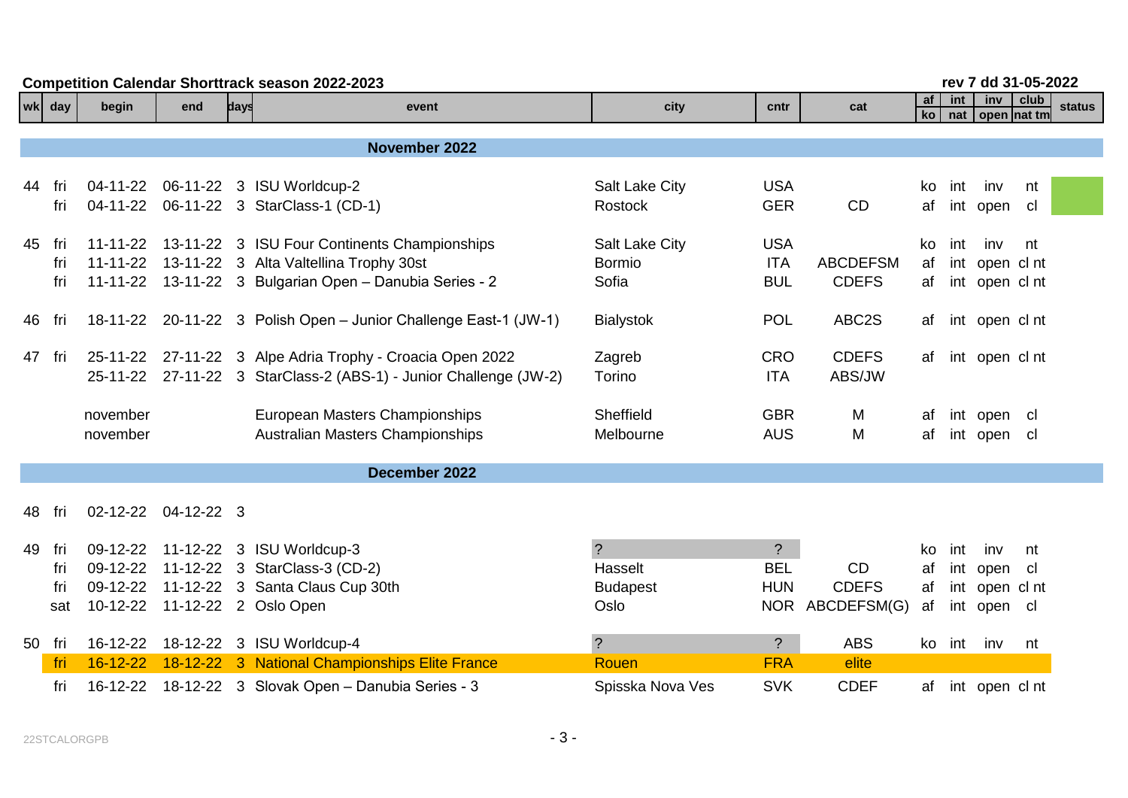|    | <b>Competition Calendar Shorttrack season 2022-2023</b> |                |                     |      |                                                                   |                       |                |                 |            |            |                        |          | rev 7 dd 31-05-2022 |  |  |  |  |  |
|----|---------------------------------------------------------|----------------|---------------------|------|-------------------------------------------------------------------|-----------------------|----------------|-----------------|------------|------------|------------------------|----------|---------------------|--|--|--|--|--|
|    | wk day                                                  | begin          | end                 | days | event                                                             | city                  | cntr           | cat             | af<br>ko l | int<br>nat | inv<br>  open   nat tm | $ $ club | <b>status</b>       |  |  |  |  |  |
|    |                                                         |                |                     |      | November 2022                                                     |                       |                |                 |            |            |                        |          |                     |  |  |  |  |  |
|    |                                                         |                |                     |      |                                                                   |                       |                |                 |            |            |                        |          |                     |  |  |  |  |  |
|    | 44 fri                                                  |                |                     |      | 04-11-22   06-11-22   3   ISU Worldcup-2                          | <b>Salt Lake City</b> | <b>USA</b>     |                 | ko         | int        | inv                    | nt       |                     |  |  |  |  |  |
|    | fri                                                     |                |                     |      | 04-11-22    06-11-22    3    StarClass-1 (CD-1)                   | Rostock               | <b>GER</b>     | <b>CD</b>       | af         |            | int open               | cl       |                     |  |  |  |  |  |
|    | 45 fri                                                  |                |                     |      | 11-11-22 13-11-22 3 ISU Four Continents Championships             | Salt Lake City        | <b>USA</b>     |                 | ko         | int        | inv                    | nt       |                     |  |  |  |  |  |
|    | fri                                                     |                |                     |      | 11-11-22  13-11-22  3  Alta Valtellina Trophy 30st                | <b>Bormio</b>         | <b>ITA</b>     | <b>ABCDEFSM</b> | af         |            | int open cl nt         |          |                     |  |  |  |  |  |
|    | fri                                                     |                |                     |      | 11-11-22 13-11-22 3 Bulgarian Open - Danubia Series - 2           | Sofia                 | <b>BUL</b>     | <b>CDEFS</b>    | af         |            | int open cl nt         |          |                     |  |  |  |  |  |
|    | 46 fri                                                  |                |                     |      | 18-11-22 20-11-22 3 Polish Open - Junior Challenge East-1 (JW-1)  | <b>Bialystok</b>      | <b>POL</b>     | ABC2S           | af         |            | int open cl nt         |          |                     |  |  |  |  |  |
|    | 47 fri                                                  |                |                     |      | 25-11-22 27-11-22 3 Alpe Adria Trophy - Croacia Open 2022         | Zagreb                | <b>CRO</b>     | <b>CDEFS</b>    | af         |            | int open cl nt         |          |                     |  |  |  |  |  |
|    |                                                         |                |                     |      | 25-11-22 27-11-22 3 StarClass-2 (ABS-1) - Junior Challenge (JW-2) | Torino                | <b>ITA</b>     | ABS/JW          |            |            |                        |          |                     |  |  |  |  |  |
|    |                                                         | november       |                     |      | European Masters Championships                                    | Sheffield             | <b>GBR</b>     | M               | af         |            | int open cl            |          |                     |  |  |  |  |  |
|    |                                                         | november       |                     |      | <b>Australian Masters Championships</b>                           | Melbourne             | <b>AUS</b>     | M               | af         |            | int open cl            |          |                     |  |  |  |  |  |
|    |                                                         |                |                     |      | December 2022                                                     |                       |                |                 |            |            |                        |          |                     |  |  |  |  |  |
| 48 | fri                                                     |                | 02-12-22 04-12-22 3 |      |                                                                   |                       |                |                 |            |            |                        |          |                     |  |  |  |  |  |
|    |                                                         |                |                     |      |                                                                   |                       |                |                 |            |            |                        |          |                     |  |  |  |  |  |
|    | 49 fri                                                  | 09-12-22       |                     |      | 11-12-22 3 ISU Worldcup-3                                         | $\overline{?}$        | $\tilde{?}$    |                 | ko.        | int        | inv                    | nt       |                     |  |  |  |  |  |
|    | fri                                                     | 09-12-22       |                     |      | 11-12-22 3 StarClass-3 (CD-2)                                     | Hasselt               | <b>BEL</b>     | <b>CD</b>       | af         |            | int open               | - cl     |                     |  |  |  |  |  |
|    | fri                                                     |                |                     |      | 09-12-22 11-12-22 3 Santa Claus Cup 30th                          | <b>Budapest</b>       | <b>HUN</b>     | <b>CDEFS</b>    | af         |            | int open cl nt         |          |                     |  |  |  |  |  |
|    | sat                                                     |                |                     |      | 10-12-22 11-12-22 2 Oslo Open                                     | Oslo                  |                | NOR ABCDEFSM(G) | af         |            | int open cl            |          |                     |  |  |  |  |  |
|    | 50 fri                                                  | 16-12-22       |                     |      | 18-12-22 3 ISU Worldcup-4                                         | $\overline{?}$        | $\overline{?}$ | <b>ABS</b>      |            |            | ko int inv             | nt       |                     |  |  |  |  |  |
|    | fri                                                     | $16 - 12 - 22$ |                     |      | 18-12-22 3 National Championships Elite France                    | Rouen                 | <b>FRA</b>     | elite           |            |            |                        |          |                     |  |  |  |  |  |
|    | fri                                                     |                |                     |      | 16-12-22 18-12-22 3 Slovak Open - Danubia Series - 3              | Spisska Nova Ves      | <b>SVK</b>     | <b>CDEF</b>     |            |            | af int open clnt       |          |                     |  |  |  |  |  |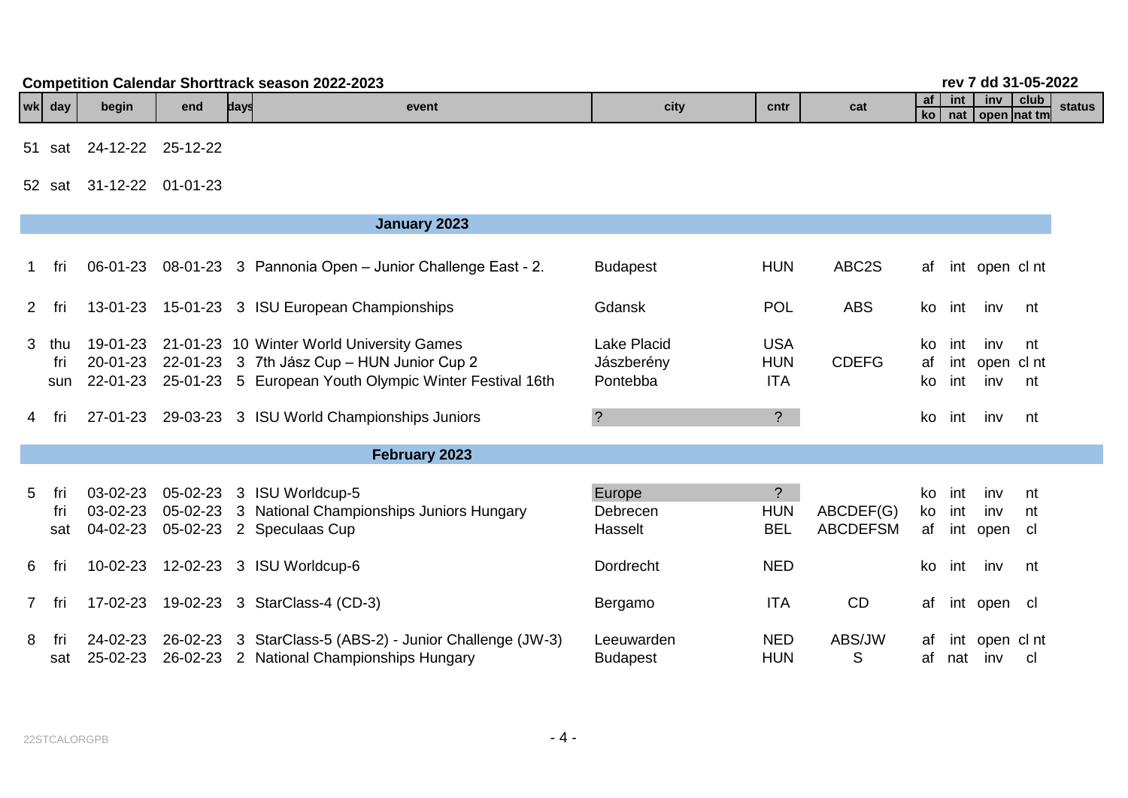| Season 2022-2023<br>. Calendar Shorttrack 1<br><b>Competition</b><br>rev |         |       |     |      |       |      |      |     |                             | J 94.<br>dd | 31-05-2022                   |        |
|--------------------------------------------------------------------------|---------|-------|-----|------|-------|------|------|-----|-----------------------------|-------------|------------------------------|--------|
|                                                                          | wk  day | begin | end | days | event | city | cntr | cat | af /<br>int<br>nat<br>l kol | <b>inv</b>  | club<br><b>Open Inat tml</b> | status |

51 sat 24-12-22 25-12-22

52 sat 31-12-22 01-01-23

|             |                   |                                  |                      | January 2023                                                                                                                                      |                                       |                                         |                              |                 |            |                              |                  |
|-------------|-------------------|----------------------------------|----------------------|---------------------------------------------------------------------------------------------------------------------------------------------------|---------------------------------------|-----------------------------------------|------------------------------|-----------------|------------|------------------------------|------------------|
| 1.          | fri               | 06-01-23                         |                      | 08-01-23 3 Pannonia Open – Junior Challenge East - 2.                                                                                             | <b>Budapest</b>                       | <b>HUN</b>                              | ABC2S                        | af              |            | int open cl nt               |                  |
| 2           | fri               | 13-01-23                         |                      | 15-01-23 3 ISU European Championships                                                                                                             | Gdansk                                | <b>POL</b>                              | <b>ABS</b>                   | ko              | int        | inv                          | nt               |
| 3           | thu<br>fri<br>sun | 19-01-23<br>20-01-23<br>22-01-23 |                      | 21-01-23 10 Winter World University Games<br>22-01-23 3 7th Jász Cup - HUN Junior Cup 2<br>25-01-23 5 European Youth Olympic Winter Festival 16th | Lake Placid<br>Jászberény<br>Pontebba | <b>USA</b><br><b>HUN</b><br><b>ITA</b>  | <b>CDEFG</b>                 | ko.<br>af<br>ko | int<br>int | inv<br>int open cl nt<br>inv | nt<br>nt         |
| 4           | fri               | 27-01-23                         |                      | 29-03-23 3 ISU World Championships Juniors                                                                                                        | $\overline{\cdot}$                    | $\ddot{?}$                              |                              | ko              | int        | inv                          | nt               |
|             |                   |                                  |                      | February 2023                                                                                                                                     |                                       |                                         |                              |                 |            |                              |                  |
| 5           | fri<br>fri<br>sat | 03-02-23<br>03-02-23<br>04-02-23 | 05-02-23<br>05-02-23 | 05-02-23 3 ISU Worldcup-5<br>3 National Championships Juniors Hungary<br>2 Speculaas Cup                                                          | Europe<br>Debrecen<br>Hasselt         | $\tilde{?}$<br><b>HUN</b><br><b>BEL</b> | ABCDEF(G)<br><b>ABCDEFSM</b> | ko<br>ko<br>af  | int<br>int | inv<br>inv<br>int open       | nt<br>nt<br>- cl |
| 6           | fri               | 10-02-23                         |                      | 12-02-23 3 ISU Worldcup-6                                                                                                                         | Dordrecht                             | <b>NED</b>                              |                              | ko              | int        | inv                          | nt               |
| $7^{\circ}$ | fri               | 17-02-23                         |                      | 19-02-23 3 StarClass-4 (CD-3)                                                                                                                     | Bergamo                               | <b>ITA</b>                              | CD                           | af              |            | int open                     | - cl             |
| 8           | fri<br>sat        | 24-02-23<br>25-02-23             |                      | 26-02-23 3 StarClass-5 (ABS-2) - Junior Challenge (JW-3)<br>26-02-23 2 National Championships Hungary                                             | Leeuwarden<br><b>Budapest</b>         | <b>NED</b><br><b>HUN</b>                | ABS/JW<br>S                  | af<br>af        |            | int open cl nt<br>nat inv    | -cl              |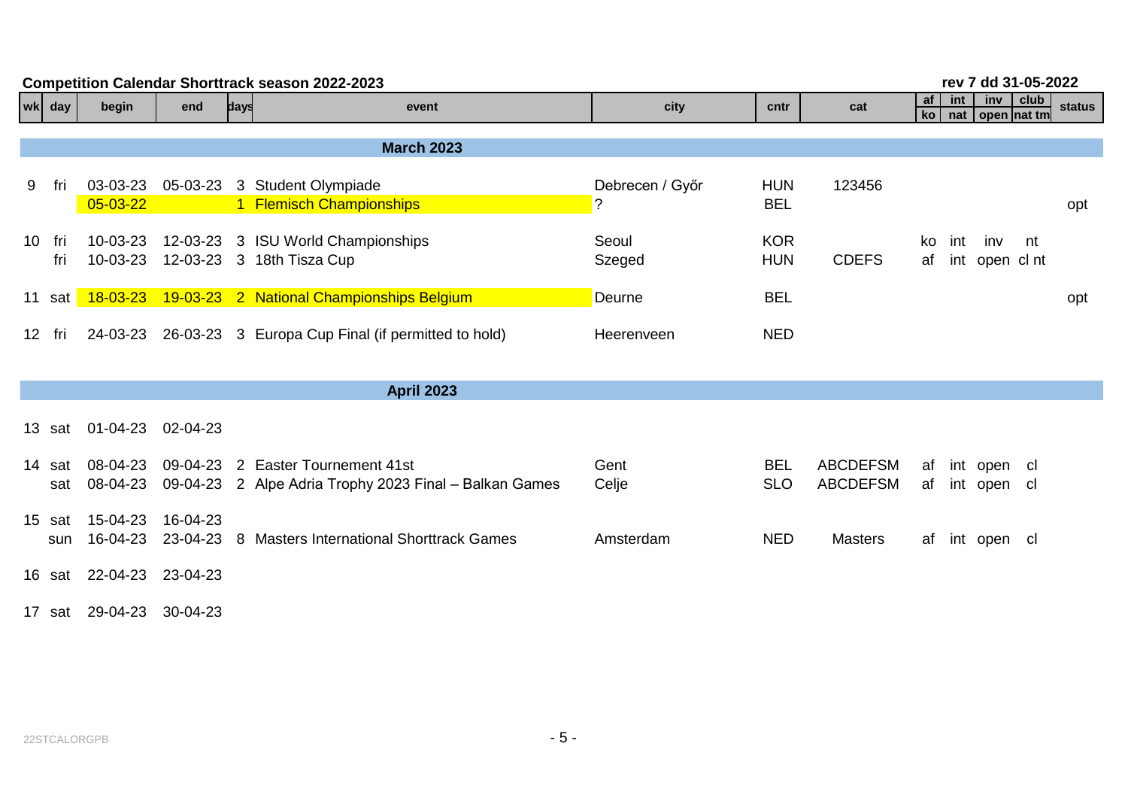|   | rev 7 dd 31-05-2022<br><b>Competition Calendar Shorttrack season 2022-2023</b> |                            |          |      |                                                                                             |                                   |                          |                                    |          |            |                            |      |        |
|---|--------------------------------------------------------------------------------|----------------------------|----------|------|---------------------------------------------------------------------------------------------|-----------------------------------|--------------------------|------------------------------------|----------|------------|----------------------------|------|--------|
|   | wk day                                                                         | begin                      | end      | days | event                                                                                       | city                              | cntr                     | cat                                | af<br>ko | int<br>nat | inv<br>open nat tm         | club | status |
|   |                                                                                |                            |          |      | <b>March 2023</b>                                                                           |                                   |                          |                                    |          |            |                            |      |        |
| 9 | fri                                                                            | 03-03-23<br>$05 - 03 - 22$ |          |      | 05-03-23 3 Student Olympiade<br>1 Flemisch Championships                                    | Debrecen / Győr<br>$\overline{?}$ | <b>HUN</b><br><b>BEL</b> | 123456                             |          |            |                            |      | opt    |
|   | 10 fri<br>fri                                                                  | 10-03-23<br>10-03-23       |          |      | 12-03-23 3 ISU World Championships<br>12-03-23 3 18th Tisza Cup                             | Seoul<br>Szeged                   | <b>KOR</b><br><b>HUN</b> | <b>CDEFS</b>                       | ko<br>af | int        | inv<br>int open cl nt      | nt   |        |
|   | 11 sat                                                                         |                            |          |      | 18-03-23 19-03-23 2 National Championships Belgium                                          | Deurne                            | <b>BEL</b>               |                                    |          |            |                            |      | opt    |
|   | 12 fri                                                                         |                            |          |      | 24-03-23 26-03-23 3 Europa Cup Final (if permitted to hold)                                 | Heerenveen                        | <b>NED</b>               |                                    |          |            |                            |      |        |
|   |                                                                                |                            |          |      | <b>April 2023</b>                                                                           |                                   |                          |                                    |          |            |                            |      |        |
|   | 13 sat                                                                         | 01-04-23 02-04-23          |          |      |                                                                                             |                                   |                          |                                    |          |            |                            |      |        |
|   | 14 sat<br>sat                                                                  | 08-04-23<br>08-04-23       |          |      | 09-04-23 2 Easter Tournement 41st<br>09-04-23 2 Alpe Adria Trophy 2023 Final - Balkan Games | Gent<br>Celje                     | <b>BEL</b><br><b>SLO</b> | <b>ABCDEFSM</b><br><b>ABCDEFSM</b> | af<br>af |            | int open cl<br>int open cl |      |        |
|   | 15 sat<br>sun                                                                  | 15-04-23<br>16-04-23       | 16-04-23 |      | 23-04-23 8 Masters International Shorttrack Games                                           | Amsterdam                         | <b>NED</b>               | <b>Masters</b>                     | af       |            | int open cl                |      |        |
|   | 16 sat                                                                         | 22-04-23 23-04-23          |          |      |                                                                                             |                                   |                          |                                    |          |            |                            |      |        |
|   |                                                                                | 17 sat 29-04-23 30-04-23   |          |      |                                                                                             |                                   |                          |                                    |          |            |                            |      |        |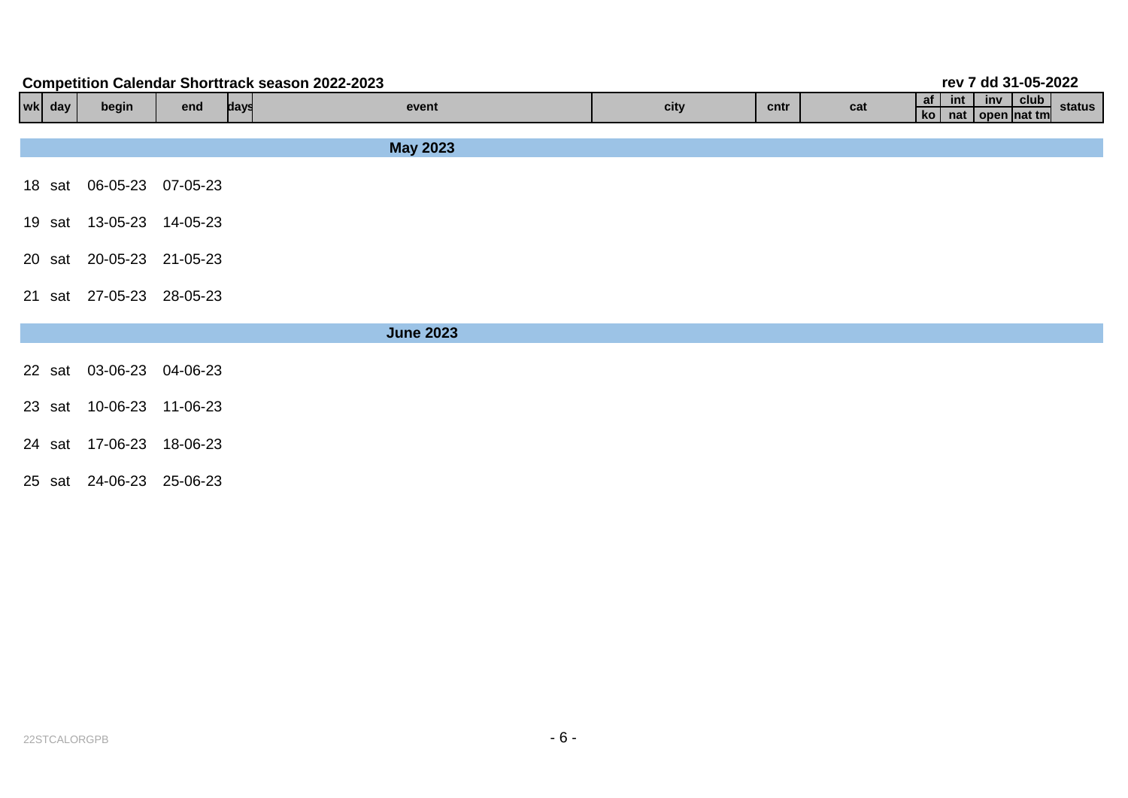| rev 7 dd 31-05-2022<br><b>Competition Calendar Shorttrack season 2022-2023</b> |            |                          |          |      |                  |      |      |     |                                                                 |  |  |  |
|--------------------------------------------------------------------------------|------------|--------------------------|----------|------|------------------|------|------|-----|-----------------------------------------------------------------|--|--|--|
|                                                                                | $ wk $ day | begin                    | end      | days | event            | city | cntr | cat | af<br>inv club<br>int<br>status<br>$k$ o<br>nat   open   nat tm |  |  |  |
|                                                                                |            |                          |          |      |                  |      |      |     |                                                                 |  |  |  |
|                                                                                |            |                          |          |      | <b>May 2023</b>  |      |      |     |                                                                 |  |  |  |
|                                                                                |            | 18 sat 06-05-23          | 07-05-23 |      |                  |      |      |     |                                                                 |  |  |  |
|                                                                                |            | 19 sat 13-05-23 14-05-23 |          |      |                  |      |      |     |                                                                 |  |  |  |
|                                                                                | 20 sat     | 20-05-23 21-05-23        |          |      |                  |      |      |     |                                                                 |  |  |  |
|                                                                                | 21 sat     | 27-05-23 28-05-23        |          |      |                  |      |      |     |                                                                 |  |  |  |
|                                                                                |            |                          |          |      | <b>June 2023</b> |      |      |     |                                                                 |  |  |  |
|                                                                                | 22 sat     | 03-06-23 04-06-23        |          |      |                  |      |      |     |                                                                 |  |  |  |
|                                                                                |            | 23 sat 10-06-23 11-06-23 |          |      |                  |      |      |     |                                                                 |  |  |  |
|                                                                                | 24 sat     | 17-06-23 18-06-23        |          |      |                  |      |      |     |                                                                 |  |  |  |
|                                                                                | 25 sat     | 24-06-23                 | 25-06-23 |      |                  |      |      |     |                                                                 |  |  |  |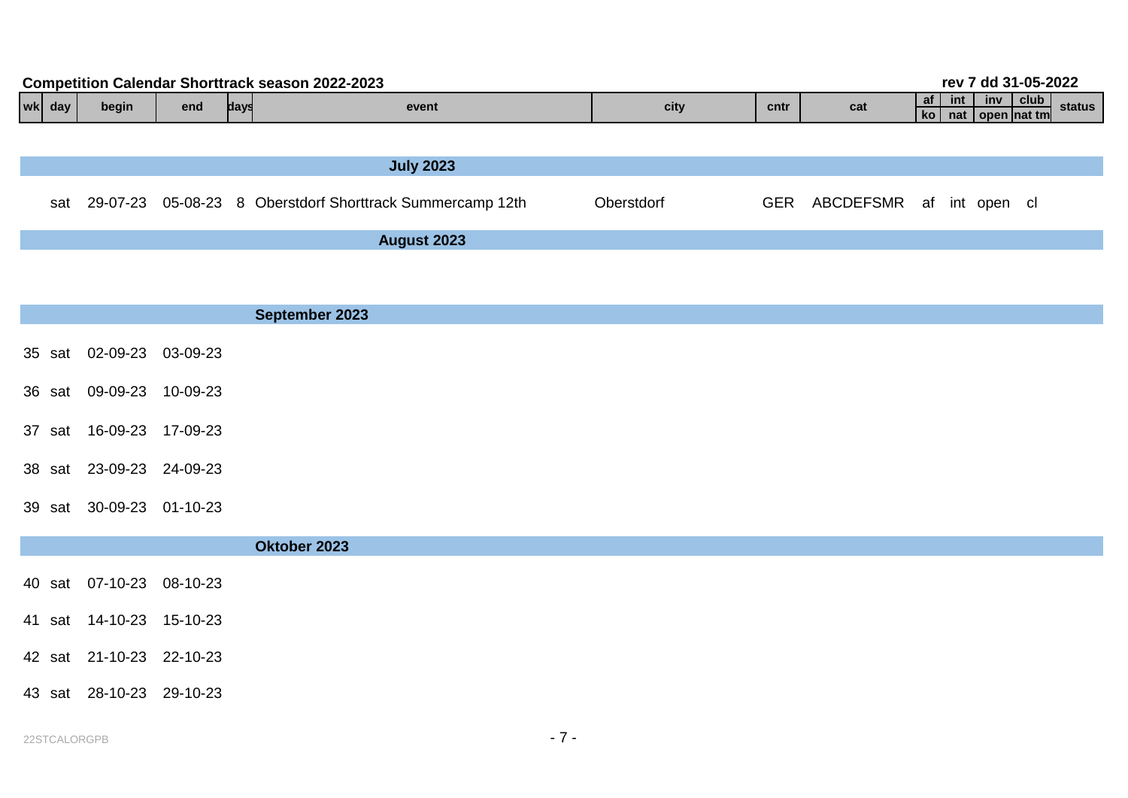| <b>Competition Calendar Shorttrack season 2022-2023</b> |            |       |     |      |                                                           |            |            |                          |    |       |                                            | rev 7 dd 31-05-2022 |        |
|---------------------------------------------------------|------------|-------|-----|------|-----------------------------------------------------------|------------|------------|--------------------------|----|-------|--------------------------------------------|---------------------|--------|
|                                                         | $ wk $ day | begin | end | days | event                                                     | city       | cntr       | cat                      | af | int l | $inv$   club  <br>ko   nat   open   nat tm |                     | status |
|                                                         |            |       |     |      |                                                           |            |            |                          |    |       |                                            |                     |        |
|                                                         |            |       |     |      | <b>July 2023</b>                                          |            |            |                          |    |       |                                            |                     |        |
|                                                         | sat        |       |     |      | 29-07-23 05-08-23 8 Oberstdorf Shorttrack Summercamp 12th | Oberstdorf | <b>GER</b> | ABCDEFSMR af int open cl |    |       |                                            |                     |        |
|                                                         |            |       |     |      | August 2023                                               |            |            |                          |    |       |                                            |                     |        |
|                                                         |            |       |     |      |                                                           |            |            |                          |    |       |                                            |                     |        |
|                                                         |            |       |     |      |                                                           |            |            |                          |    |       |                                            |                     |        |

|                          | September 2023 |  |  |  |
|--------------------------|----------------|--|--|--|
| 35 sat 02-09-23 03-09-23 |                |  |  |  |
| 36 sat 09-09-23 10-09-23 |                |  |  |  |
| 37 sat 16-09-23 17-09-23 |                |  |  |  |
| 38 sat 23-09-23 24-09-23 |                |  |  |  |
| 39 sat 30-09-23 01-10-23 |                |  |  |  |
|                          | Oktober 2023   |  |  |  |

| 40 sat 07-10-23 08-10-23 |  |
|--------------------------|--|
| 41 sat 14-10-23 15-10-23 |  |
| 42 sat 21-10-23 22-10-23 |  |
| 43 sat 28-10-23 29-10-23 |  |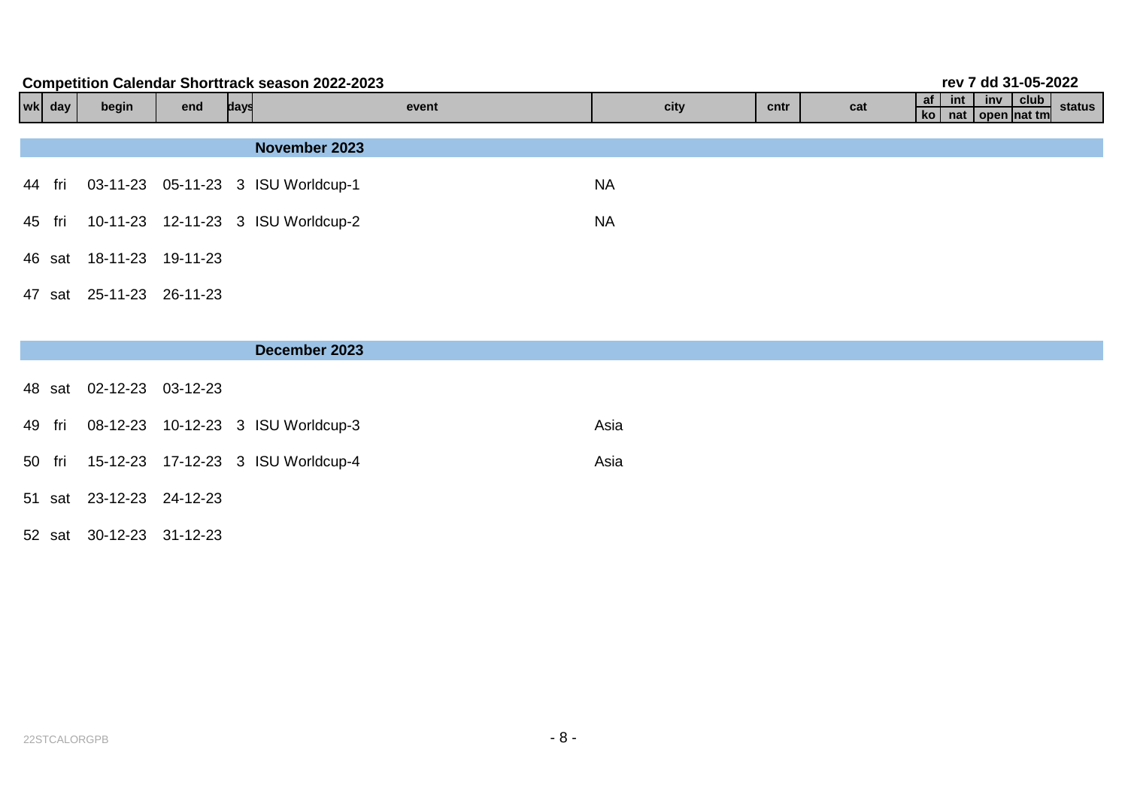| rev 7 dd 31-05-2022<br><b>Competition Calendar Shorttrack season 2022-2023</b> |        |                          |     |      |                                           |           |      |     |  |  |                                                |        |
|--------------------------------------------------------------------------------|--------|--------------------------|-----|------|-------------------------------------------|-----------|------|-----|--|--|------------------------------------------------|--------|
|                                                                                | wk day | begin                    | end | days | event                                     | city      | cntr | cat |  |  | af int inv club<br>$k$ o   nat   open   nat tm | status |
|                                                                                |        |                          |     |      |                                           |           |      |     |  |  |                                                |        |
|                                                                                |        |                          |     |      | November 2023                             |           |      |     |  |  |                                                |        |
|                                                                                | 44 fri |                          |     |      | 03-11-23 05-11-23 3 ISU Worldcup-1        | <b>NA</b> |      |     |  |  |                                                |        |
|                                                                                |        |                          |     |      | 45 fri 10-11-23 12-11-23 3 ISU Worldcup-2 | <b>NA</b> |      |     |  |  |                                                |        |
|                                                                                |        | 46 sat 18-11-23 19-11-23 |     |      |                                           |           |      |     |  |  |                                                |        |
|                                                                                |        | 47 sat 25-11-23 26-11-23 |     |      |                                           |           |      |     |  |  |                                                |        |

52 sat 30-12-23 31-12-23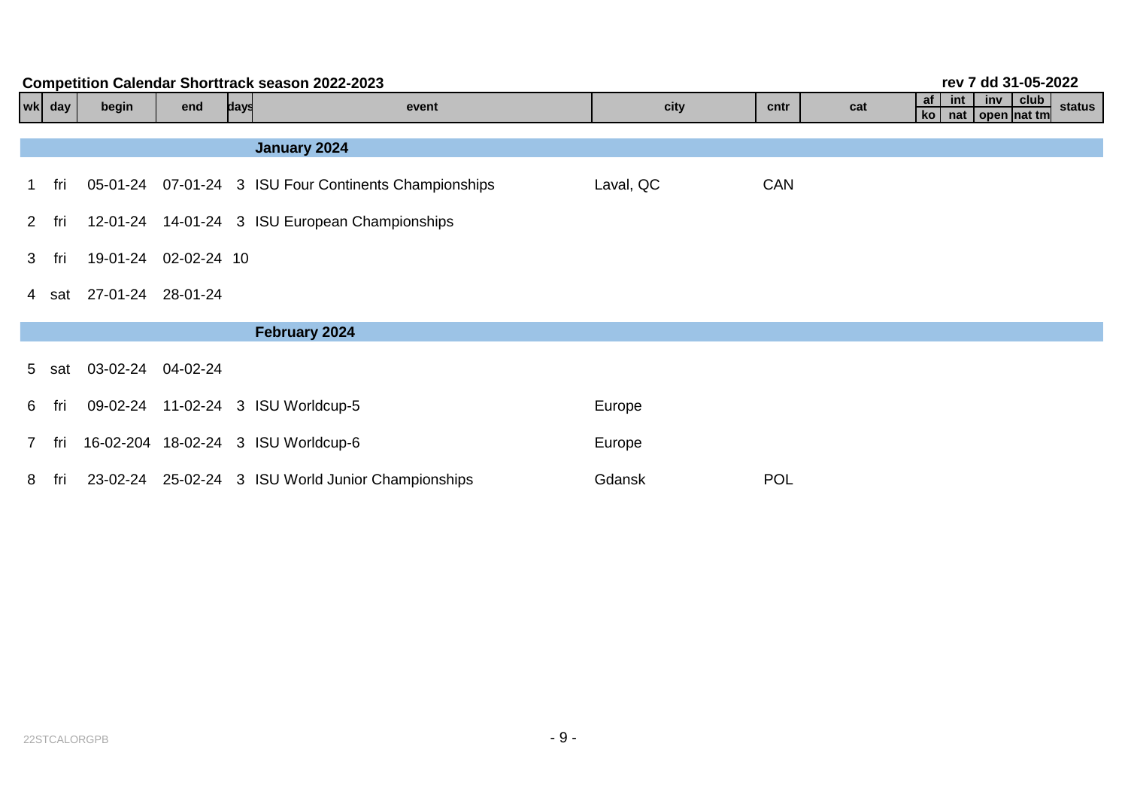|   | <b>Competition Calendar Shorttrack season 2022-2023</b><br>rev 7 dd 31-05-2022 |                         |     |      |                                                       |           |            |                                                                               |  |  |  |  |
|---|--------------------------------------------------------------------------------|-------------------------|-----|------|-------------------------------------------------------|-----------|------------|-------------------------------------------------------------------------------|--|--|--|--|
|   | wk day                                                                         | begin                   | end | days | event                                                 | city      | cntr       | club<br>$af \mid$<br>int<br>inv<br>cat<br>status<br>nat   open   nat tm<br>ko |  |  |  |  |
|   |                                                                                |                         |     |      |                                                       |           |            |                                                                               |  |  |  |  |
|   |                                                                                |                         |     |      | January 2024                                          |           |            |                                                                               |  |  |  |  |
|   | 1 fri                                                                          |                         |     |      | 05-01-24 07-01-24 3 ISU Four Continents Championships | Laval, QC | <b>CAN</b> |                                                                               |  |  |  |  |
|   | 2 fri                                                                          |                         |     |      | 12-01-24 14-01-24 3 ISU European Championships        |           |            |                                                                               |  |  |  |  |
|   | 3 fri                                                                          | 19-01-24 02-02-24 10    |     |      |                                                       |           |            |                                                                               |  |  |  |  |
|   |                                                                                | 4 sat 27-01-24 28-01-24 |     |      |                                                       |           |            |                                                                               |  |  |  |  |
|   |                                                                                |                         |     |      |                                                       |           |            |                                                                               |  |  |  |  |
|   | 5 sat                                                                          | 03-02-24 04-02-24       |     |      |                                                       |           |            |                                                                               |  |  |  |  |
|   | 6 fri                                                                          |                         |     |      | 09-02-24 11-02-24 3 ISU Worldcup-5                    | Europe    |            |                                                                               |  |  |  |  |
|   | 7 fri                                                                          |                         |     |      | 16-02-204 18-02-24 3 ISU Worldcup-6                   | Europe    |            |                                                                               |  |  |  |  |
| 8 | fri                                                                            | 23-02-24                |     |      | 25-02-24 3 ISU World Junior Championships             | Gdansk    | <b>POL</b> |                                                                               |  |  |  |  |